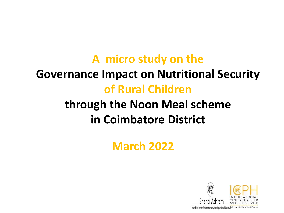## **A micro study on the Governance Impact on Nutritional Security of Rural Children**

## **through the Noon Meal scheme in Coimbatore District**

### **March 2022**



Gandhian center for development, learning and collaboratio.<sup>3</sup>oth year initiative of Shanti Ashran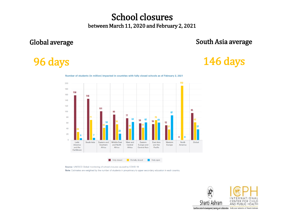#### School closures between March 11, 2020 and February 2, 2021

#### Global average

#### South Asia average

#### 96 days

#### 146 days



Number of students (in million) impacted in countries with fully closed schools as of February 2, 2021

Source: UNESCO Global monitoring of school closures caused by COVID-19

Note: Estimates are weighted by the number of students in pre-primary to upper secondary education in each country.

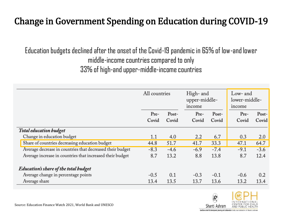#### Change in Government Spending on Education during COVID-19

Education budgets declined after the onset of the Covid-19 pandemic in 65% of low-and lower middle-income countries compared to only 33% of high-and upper-middle-income countries

|                                                           | All countries |                | High- and<br>upper-middle-<br>income |                | Low- and<br>lower-middle-<br>income |                |
|-----------------------------------------------------------|---------------|----------------|--------------------------------------|----------------|-------------------------------------|----------------|
|                                                           | Pre-<br>Covid | Post-<br>Covid | Pre-<br>Covid                        | Post-<br>Covid | Pre-<br>Covid                       | Post-<br>Covid |
| <b>Total education budget</b>                             |               |                |                                      |                |                                     |                |
| Change in education budget                                | 1.1           | 4.0            | 2.2                                  | 6.7            | 0.3                                 | 2.0            |
| Share of countries decreasing education budget            | 44.8          | 51.7           | 41.7                                 | 33.3           | 47.1                                | 64.7           |
| Average decrease in countries that decreased their budget | $-8.3$        | $-4.6$         | $-6.9$                               | $-7.4$         | $-9.1$                              | $-3.6$         |
| Average increase in countries that increased their budget | 8.7           | 13.2           | 8.8                                  | 13.8           | 8.7                                 | 12.4           |
| <b>Education's share of the total budget</b>              |               |                |                                      |                |                                     |                |
| Average change in percentage points                       | $-0.5$        | 0.1            | $-0.3$                               | $-0.1$         | $-0.6$                              | 0.2            |
| Average share                                             | 13.4          | 13.5           | 13.7                                 | 13.6           | 13.2                                | 13.4           |



Source: Education Finance Watch 2021, World Bank and UNESCO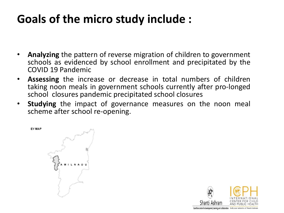### **Goals of the micro study include :**

- **Analyzing** the pattern of reverse migration of children to government schools as evidenced by school enrollment and precipitated by the COVID 19 Pandemic
- **Assessing** the increase or decrease in total numbers of children taking noon meals in government schools currently after pro-longed school closures pandemic precipitated school closures
- **Studying** the impact of governance measures on the noon meal scheme after school re-opening.

EY MAP

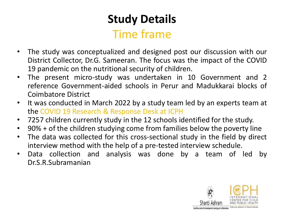### **Study Details** Time frame

- The study was conceptualized and designed post our discussion with our District Collector, Dr.G. Sameeran. The focus was the impact of the COVID 19 pandemic on the nutritional security of children.
- The present micro-study was undertaken in 10 Government and 2 reference Government-aided schools in Perur and Madukkarai blocks of Coimbatore District
- It was conducted in March 2022 by a study team led by an experts team at the COVID 19 Research & Response Desk at ICPH
- 7257 children currently study in the 12 schools identified for the study.
- 90% + of the children studying come from families below the poverty line
- The data was collected for this cross-sectional study in the field by direct interview method with the help of a pre-tested interview schedule.
- Data collection and analysis was done by a team of led by Dr.S.R.Subramanian

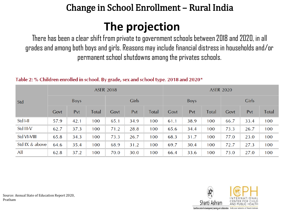#### Change in School Enrollment – Rural India

### **The projection**

There has been a clear shift from private to government schools between 2018 and 2020, in all grades and among both boys and girls. Reasons may include financial distress in households and/or permanent school shutdowns among the privates schools.

|                | <b>ASER 2018</b> |      |       |       |      | <b>ASER 2020</b> |             |      |              |       |      |              |
|----------------|------------------|------|-------|-------|------|------------------|-------------|------|--------------|-------|------|--------------|
| Std            | <b>Boys</b>      |      |       | Girls |      |                  | <b>Boys</b> |      |              | Girls |      |              |
|                | Govt             | Pvt  | Total | Govt  | Pvt  | <b>Total</b>     | Govt        | Pvt  | <b>Total</b> | Govt  | Pvt  | <b>Total</b> |
| Std I-II       | 57.9             | 42.1 | 100   | 65.1  | 34.9 | 100              | 61.1        | 38.9 | 100          | 66.7  | 33.4 | 100          |
| Std III-V      | 62.7             | 37.3 | 100   | 71.2  | 28.8 | 100              | 65.6        | 34.4 | 100          | 73.3  | 26.7 | 100          |
| Std VI-VIII    | 65.8             | 34.3 | 100   | 73.3  | 26.7 | 100              | 68.3        | 31.7 | 100          | 77.0  | 23.0 | 100          |
| Std IX & above | 64.6             | 35.4 | 100   | 68.9  | 31.2 | 100              | 69.7        | 30.4 | 100          | 72.7  | 27.3 | 100          |
| <b>All</b>     | 62.8             | 37.2 | 100   | 70.0  | 30.0 | 100              | 66.4        | 33.6 | 100          | 73.0  | 27.0 | 100          |

#### Table 2: % Children enrolled in school. By grade, sex and school type. 2018 and 2020\*



Source: Annual State of Education Report 2020, Pratham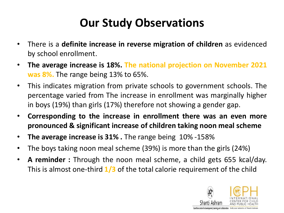### **Our Study Observations**

- There is a **definite increase in reverse migration of children** as evidenced by school enrollment.
- **The average increase is 18%. The national projection on November 2021 was 8%.** The range being 13% to 65%.
- This indicates migration from private schools to government schools. The percentage varied from The increase in enrollment was marginally higher in boys (19%) than girls (17%) therefore not showing a gender gap.
- **Corresponding to the increase in enrollment there was an even more pronounced & significant increase of children taking noon meal scheme**
- **The average increase is 31% .** The range being 10% -158%
- The boys taking noon meal scheme (39%) is more than the girls (24%)
- **A reminder :** Through the noon meal scheme, a child gets 655 kcal/day. This is almost one-third **1/3** of the total calorie requirement of the child

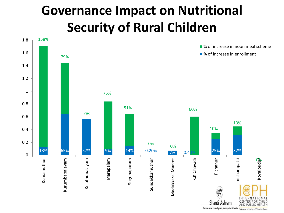# **Governance Impact on Nutritional Security of Rural Children**

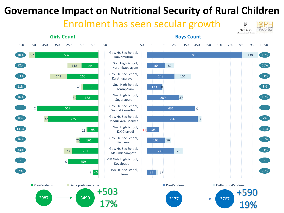### **Governance Impact on Nutritional Security of Rural Children**

Enrolment has seen secular growth

Pichanur

Perur



**Girls Count**





19%

Shanti Ashram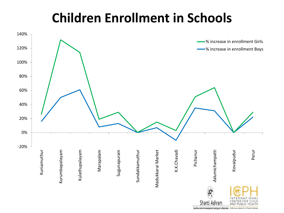## **Children Enrollment in Schools**



Gandhian center for development, learning and collaboration 30th year initiative of Shanti Ashram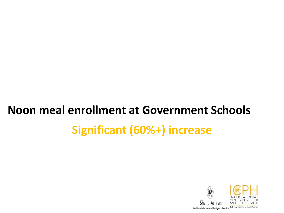# **Significant (60%+) increase Noon meal enrollment at Government Schools**